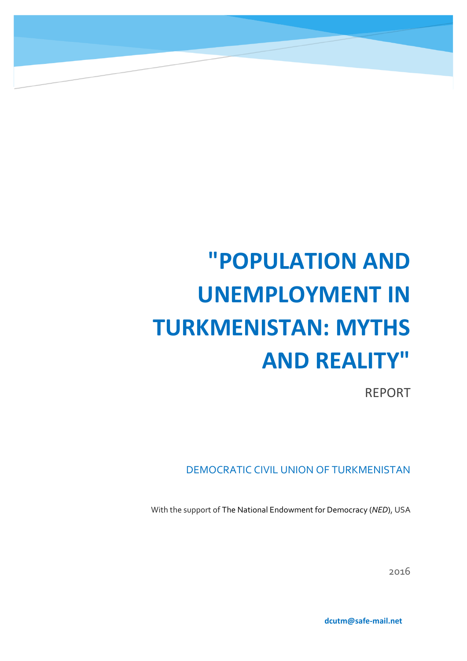# **"POPULATION AND UNEMPLOYMENT IN TURKMENISTAN: MYTHS AND REALITY"**

НАСЕЛЕНИЕ И БЕЗРАБОТИЦА В ТУРКМЕНИСТАНЕ: МИФЫ И РЕАЛЬНОСТЬ

REPORT

DEMOCRATIC CIVIL UNION OF TURKMENISTAN

With the support of The National Endowment for Democracy (*NED*), USA

2016

**dcutm@safe-mail.net**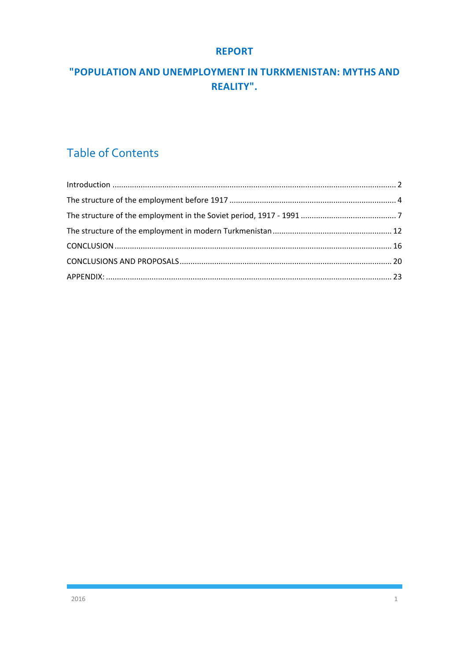#### **REPORT**

## "POPULATION AND UNEMPLOYMENT IN TURKMENISTAN: MYTHS AND REALITY".

# **Table of Contents**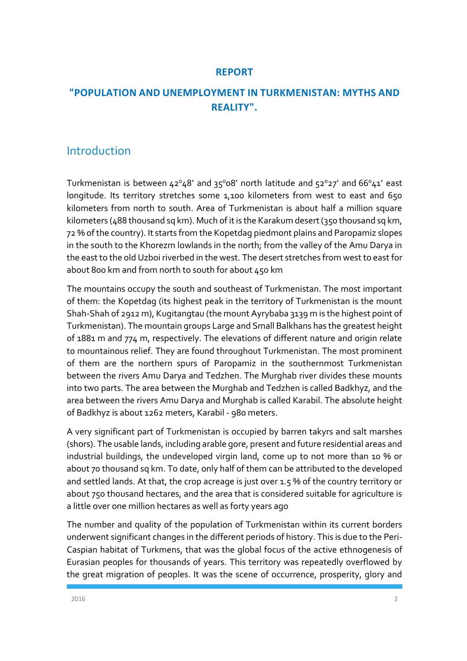#### **REPORT**

## **"POPULATION AND UNEMPLOYMENT IN TURKMENISTAN: MYTHS AND REALITY".**

## <span id="page-2-0"></span>Introduction

Turkmenistan is between  $42^{\circ}48'$  and  $35^{\circ}08'$  north latitude and  $52^{\circ}27'$  and  $66^{\circ}41'$  east longitude. Its territory stretches some 1,100 kilometers from west to east and 650 kilometers from north to south. Area of Turkmenistan is about half a million square kilometers (488 thousand sq km). Much of it is the Karakum desert (350 thousand sq km, 72 % of the country). It starts from the Kopetdag piedmont plains and Paropamiz slopes in the south to the Khorezm lowlands in the north; from the valley of the Amu Darya in the east to the old Uzboi riverbed in the west. The desert stretches from west to east for about 800 km and from north to south for about 450 km

The mountains occupy the south and southeast of Turkmenistan. The most important of them: the Kopetdag (its highest peak in the territory of Turkmenistan is the mount Shah-Shah of 2912 m), Kugitangtau (the mount Ayrybaba 3139 m is the highest point of Turkmenistan). The mountain groups Large and Small Balkhans has the greatest height of 1881 m and 774 m, respectively. The elevations of different nature and origin relate to mountainous relief. They are found throughout Turkmenistan. The most prominent of them are the northern spurs of Paropamiz in the southernmost Turkmenistan between the rivers Amu Darya and Tedzhen. The Murghab river divides these mounts into two parts. The area between the Murghab and Tedzhen is called Badkhyz, and the area between the rivers Amu Darya and Murghab is called Karabil. The absolute height of Badkhyz is about 1262 meters, Karabil - 980 meters.

A very significant part of Turkmenistan is occupied by barren takyrs and salt marshes (shors). The usable lands, including arable gore, present and future residential areas and industrial buildings, the undeveloped virgin land, come up to not more than 10 % or about 70 thousand sq km. To date, only half of them can be attributed to the developed and settled lands. At that, the crop acreage is just over 1.5 % of the country territory or about 750 thousand hectares, and the area that is considered suitable for agriculture is a little over one million hectares as well as forty years ago

The number and quality of the population of Turkmenistan within its current borders underwent significant changes in the different periods of history. This is due to the Peri-Caspian habitat of Turkmens, that was the global focus of the active ethnogenesis of Eurasian peoples for thousands of years. This territory was repeatedly overflowed by the great migration of peoples. It was the scene of occurrence, prosperity, glory and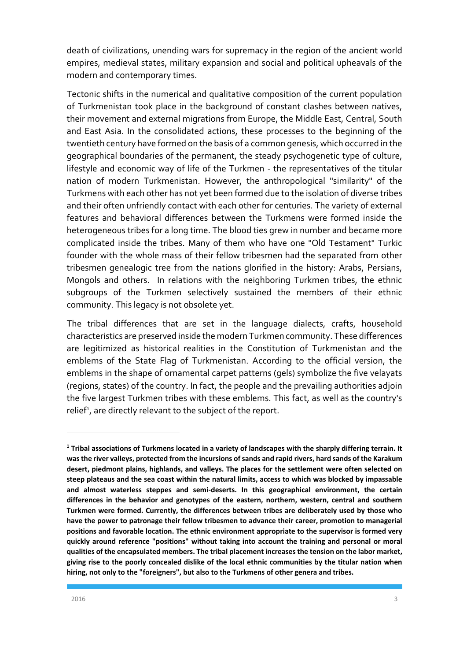death of civilizations, unending wars for supremacy in the region of the ancient world empires, medieval states, military expansion and social and political upheavals of the modern and contemporary times.

Tectonic shifts in the numerical and qualitative composition of the current population of Turkmenistan took place in the background of constant clashes between natives, their movement and external migrations from Europe, the Middle East, Central, South and East Asia. In the consolidated actions, these processes to the beginning of the twentieth century have formed on the basis of a common genesis, which occurred in the geographical boundaries of the permanent, the steady psychogenetic type of culture, lifestyle and economic way of life of the Turkmen - the representatives of the titular nation of modern Turkmenistan. However, the anthropological "similarity" of the Turkmens with each other has not yet been formed due to the isolation of diverse tribes and their often unfriendly contact with each other for centuries. The variety of external features and behavioral differences between the Turkmens were formed inside the heterogeneous tribes for a long time. The blood ties grew in number and became more complicated inside the tribes. Many of them who have one "Old Testament" Turkic founder with the whole mass of their fellow tribesmen had the separated from other tribesmen genealogic tree from the nations glorified in the history: Arabs, Persians, Mongols and others. In relations with the neighboring Turkmen tribes, the ethnic subgroups of the Turkmen selectively sustained the members of their ethnic community. This legacy is not obsolete yet.

The tribal differences that are set in the language dialects, crafts, household characteristics are preserved inside the modern Turkmen community. These differences are legitimized as historical realities in the Constitution of Turkmenistan and the emblems of the State Flag of Turkmenistan. According to the official version, the emblems in the shape of ornamental carpet patterns (gels) symbolize the five velayats (regions, states) of the country. In fact, the people and the prevailing authorities adjoin the five largest Turkmen tribes with these emblems. This fact, as well as the country's relief<sup>1</sup>, are directly relevant to the subject of the report.

1

**<sup>1</sup> Tribal associations of Turkmens located in a variety of landscapes with the sharply differing terrain. It was the river valleys, protected from the incursions of sands and rapid rivers, hard sands of the Karakum desert, piedmont plains, highlands, and valleys. The places for the settlement were often selected on steep plateaus and the sea coast within the natural limits, access to which was blocked by impassable and almost waterless steppes and semi-deserts. In this geographical environment, the certain differences in the behavior and genotypes of the eastern, northern, western, central and southern Turkmen were formed. Currently, the differences between tribes are deliberately used by those who have the power to patronage their fellow tribesmen to advance their career, promotion to managerial positions and favorable location. The ethnic environment appropriate to the supervisor is formed very quickly around reference "positions" without taking into account the training and personal or moral qualities of the encapsulated members. The tribal placement increases the tension on the labor market, giving rise to the poorly concealed dislike of the local ethnic communities by the titular nation when hiring, not only to the "foreigners", but also to the Turkmens of other genera and tribes.**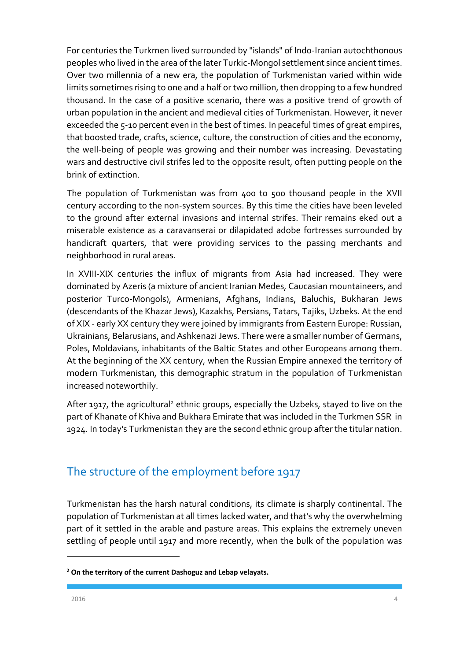For centuries the Turkmen lived surrounded by "islands" of Indo-Iranian autochthonous peoples who lived in the area of the later Turkic-Mongol settlement since ancient times. Over two millennia of a new era, the population of Turkmenistan varied within wide limits sometimes rising to one and a half or two million, then dropping to a few hundred thousand. In the case of a positive scenario, there was a positive trend of growth of urban population in the ancient and medieval cities of Turkmenistan. However, it never exceeded the 5-10 percent even in the best of times. In peaceful times of great empires, that boosted trade, crafts, science, culture, the construction of cities and the economy, the well-being of people was growing and their number was increasing. Devastating wars and destructive civil strifes led to the opposite result, often putting people on the brink of extinction.

The population of Turkmenistan was from 400 to 500 thousand people in the XVII century according to the non-system sources. By this time the cities have been leveled to the ground after external invasions and internal strifes. Their remains eked out a miserable existence as a caravanserai or dilapidated adobe fortresses surrounded by handicraft quarters, that were providing services to the passing merchants and neighborhood in rural areas.

In XVIII-XIX centuries the influx of migrants from Asia had increased. They were dominated by Azeris (a mixture of ancient Iranian Medes, Caucasian mountaineers, and posterior Turco-Mongols), Armenians, Afghans, Indians, Baluchis, Bukharan Jews (descendants of the Khazar Jews), Kazakhs, Persians, Tatars, Tajiks, Uzbeks. At the end of XIX - early XX century they were joined by immigrants from Eastern Europe: Russian, Ukrainians, Belarusians, and Ashkenazi Jews. There were a smaller number of Germans, Poles, Moldavians, inhabitants of the Baltic States and other Europeans among them. At the beginning of the XX century, when the Russian Empire annexed the territory of modern Turkmenistan, this demographic stratum in the population of Turkmenistan increased noteworthily.

After 1917, the agricultural<sup>2</sup> ethnic groups, especially the Uzbeks, stayed to live on the part of Khanate of Khiva and Bukhara Emirate that was included in the Turkmen SSR in 1924. In today's Turkmenistan they are the second ethnic group after the titular nation.

## <span id="page-4-0"></span>The structure of the employment before 1917

Turkmenistan has the harsh natural conditions, its climate is sharply continental. The population of Turkmenistan at all times lacked water, and that's why the overwhelming part of it settled in the arable and pasture areas. This explains the extremely uneven settling of people until 1917 and more recently, when the bulk of the population was

**<sup>2</sup> On the territory of the current Dashoguz and Lebap velayats.**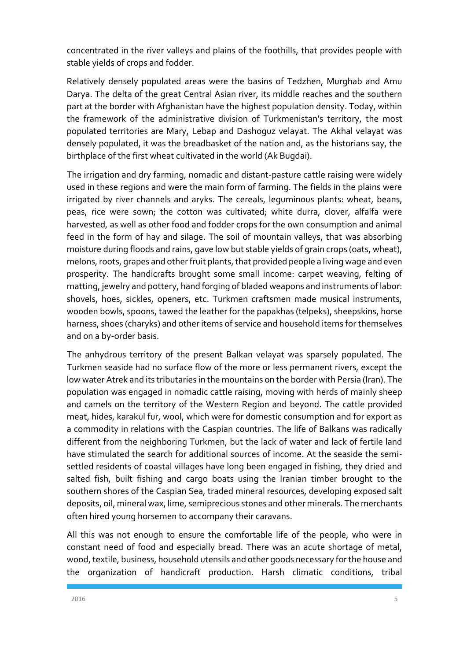concentrated in the river valleys and plains of the foothills, that provides people with stable yields of crops and fodder.

Relatively densely populated areas were the basins of Tedzhen, Murghab and Amu Darya. The delta of the great Central Asian river, its middle reaches and the southern part at the border with Afghanistan have the highest population density. Today, within the framework of the administrative division of Turkmenistan's territory, the most populated territories are Mary, Lebap and Dashoguz velayat. The Akhal velayat was densely populated, it was the breadbasket of the nation and, as the historians say, the birthplace of the first wheat cultivated in the world (Ak Bugdai).

The irrigation and dry farming, nomadic and distant-pasture cattle raising were widely used in these regions and were the main form of farming. The fields in the plains were irrigated by river channels and aryks. The cereals, leguminous plants: wheat, beans, peas, rice were sown; the cotton was cultivated; white durra, clover, alfalfa were harvested, as well as other food and fodder crops for the own consumption and animal feed in the form of hay and silage. The soil of mountain valleys, that was absorbing moisture during floods and rains, gave low but stable yields of grain crops (oats, wheat), melons, roots, grapes and other fruit plants, that provided people a living wage and even prosperity. The handicrafts brought some small income: carpet weaving, felting of matting, jewelry and pottery, hand forging of bladed weapons and instruments of labor: shovels, hoes, sickles, openers, etc. Turkmen craftsmen made musical instruments, wooden bowls, spoons, tawed the leather for the papakhas (telpeks), sheepskins, horse harness, shoes (charyks) and other items of service and household items for themselves and on a by-order basis.

The anhydrous territory of the present Balkan velayat was sparsely populated. The Turkmen seaside had no surface flow of the more or less permanent rivers, except the low water Atrek and its tributaries in the mountains on the border with Persia (Iran). The population was engaged in nomadic cattle raising, moving with herds of mainly sheep and camels on the territory of the Western Region and beyond. The cattle provided meat, hides, karakul fur, wool, which were for domestic consumption and for export as a commodity in relations with the Caspian countries. The life of Balkans was radically different from the neighboring Turkmen, but the lack of water and lack of fertile land have stimulated the search for additional sources of income. At the seaside the semisettled residents of coastal villages have long been engaged in fishing, they dried and salted fish, built fishing and cargo boats using the Iranian timber brought to the southern shores of the Caspian Sea, traded mineral resources, developing exposed salt deposits, oil, mineral wax, lime, semiprecious stones and other minerals. The merchants often hired young horsemen to accompany their caravans.

All this was not enough to ensure the comfortable life of the people, who were in constant need of food and especially bread. There was an acute shortage of metal, wood, textile, business, household utensils and other goods necessary for the house and the organization of handicraft production. Harsh climatic conditions, tribal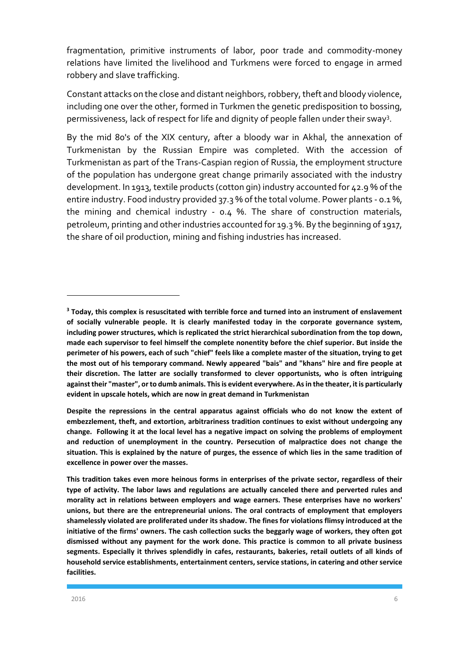fragmentation, primitive instruments of labor, poor trade and commodity-money relations have limited the livelihood and Turkmens were forced to engage in armed robbery and slave trafficking.

Constant attacks on the close and distant neighbors, robbery, theft and bloody violence, including one over the other, formed in Turkmen the genetic predisposition to bossing, permissiveness, lack of respect for life and dignity of people fallen under their sway<sup>3</sup>.

By the mid 80's of the XIX century, after a bloody war in Akhal, the annexation of Turkmenistan by the Russian Empire was completed. With the accession of Turkmenistan as part of the Trans-Caspian region of Russia, the employment structure of the population has undergone great change primarily associated with the industry development. In 1913, textile products (cotton gin) industry accounted for 42.9 % of the entire industry. Food industry provided 37.3 % of the total volume. Power plants - 0.1 %, the mining and chemical industry - 0.4 %. The share of construction materials, petroleum, printing and other industries accounted for 19.3 %. By the beginning of 1917, the share of oil production, mining and fishing industries has increased.

**<sup>3</sup> Today, this complex is resuscitated with terrible force and turned into an instrument of enslavement of socially vulnerable people. It is clearly manifested today in the corporate governance system, including power structures, which is replicated the strict hierarchical subordination from the top down, made each supervisor to feel himself the complete nonentity before the chief superior. But inside the perimeter of his powers, each of such "chief" feels like a complete master of the situation, trying to get the most out of his temporary command. Newly appeared "bais" and "khans" hire and fire people at their discretion. The latter are socially transformed to clever opportunists, who is often intriguing against their "master", or to dumb animals. This is evident everywhere. As in the theater, it is particularly evident in upscale hotels, which are now in great demand in Turkmenistan** 

**Despite the repressions in the central apparatus against officials who do not know the extent of embezzlement, theft, and extortion, arbitrariness tradition continues to exist without undergoing any change. Following it at the local level has a negative impact on solving the problems of employment and reduction of unemployment in the country. Persecution of malpractice does not change the situation. This is explained by the nature of purges, the essence of which lies in the same tradition of excellence in power over the masses.** 

**This tradition takes even more heinous forms in enterprises of the private sector, regardless of their type of activity. The labor laws and regulations are actually canceled there and perverted rules and morality act in relations between employers and wage earners. These enterprises have no workers' unions, but there are the entrepreneurial unions. The oral contracts of employment that employers shamelessly violated are proliferated under its shadow. The fines for violations flimsy introduced at the initiative of the firms' owners. The cash collection sucks the beggarly wage of workers, they often got dismissed without any payment for the work done. This practice is common to all private business segments. Especially it thrives splendidly in cafes, restaurants, bakeries, retail outlets of all kinds of household service establishments, entertainment centers, service stations, in catering and other service facilities.**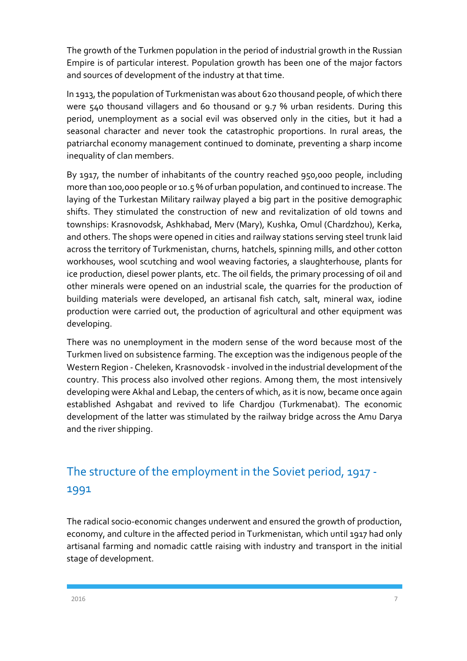The growth of the Turkmen population in the period of industrial growth in the Russian Empire is of particular interest. Population growth has been one of the major factors and sources of development of the industry at that time.

In 1913, the population of Turkmenistan was about 620 thousand people, of which there were 540 thousand villagers and 60 thousand or 9.7 % urban residents. During this period, unemployment as a social evil was observed only in the cities, but it had a seasonal character and never took the catastrophic proportions. In rural areas, the patriarchal economy management continued to dominate, preventing a sharp income inequality of clan members.

By 1917, the number of inhabitants of the country reached 950,000 people, including more than 100,000 people or 10.5 % of urban population, and continued to increase. The laying of the Turkestan Military railway played a big part in the positive demographic shifts. They stimulated the construction of new and revitalization of old towns and townships: Krasnovodsk, Ashkhabad, Merv (Mary), Kushka, Omul (Chardzhou), Kerka, and others. The shops were opened in cities and railway stations serving steel trunk laid across the territory of Turkmenistan, churns, hatchels, spinning mills, and other cotton workhouses, wool scutching and wool weaving factories, a slaughterhouse, plants for ice production, diesel power plants, etc. The oil fields, the primary processing of oil and other minerals were opened on an industrial scale, the quarries for the production of building materials were developed, an artisanal fish catch, salt, mineral wax, iodine production were carried out, the production of agricultural and other equipment was developing.

There was no unemployment in the modern sense of the word because most of the Turkmen lived on subsistence farming. The exception was the indigenous people of the Western Region - Cheleken, Krasnovodsk - involved in the industrial development of the country. This process also involved other regions. Among them, the most intensively developing were Akhal and Lebap, the centers of which, as it is now, became once again established Ashgabat and revived to life Chardjou (Turkmenabat). The economic development of the latter was stimulated by the railway bridge across the Amu Darya and the river shipping.

# <span id="page-7-0"></span>The structure of the employment in the Soviet period, 1917 - 1991

The radical socio-economic changes underwent and ensured the growth of production, economy, and culture in the affected period in Turkmenistan, which until 1917 had only artisanal farming and nomadic cattle raising with industry and transport in the initial stage of development.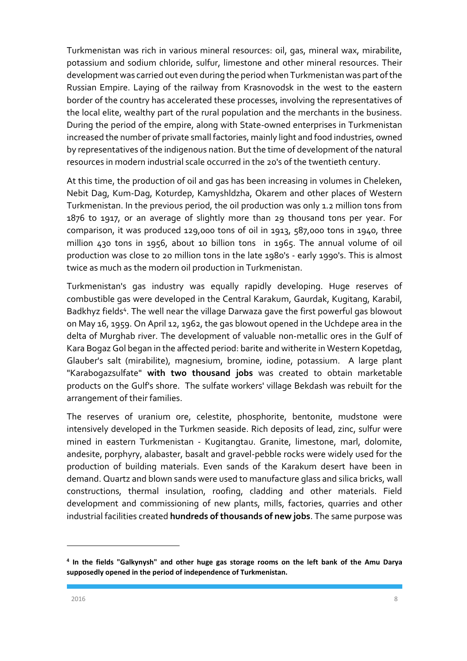Turkmenistan was rich in various mineral resources: oil, gas, mineral wax, mirabilite, potassium and sodium chloride, sulfur, limestone and other mineral resources. Their development was carried out even during the period when Turkmenistan was part of the Russian Empire. Laying of the railway from Krasnovodsk in the west to the eastern border of the country has accelerated these processes, involving the representatives of the local elite, wealthy part of the rural population and the merchants in the business. During the period of the empire, along with State-owned enterprises in Turkmenistan increased the number of private small factories, mainly light and food industries, owned by representatives of the indigenous nation. But the time of development of the natural resources in modern industrial scale occurred in the 20's of the twentieth century.

At this time, the production of oil and gas has been increasing in volumes in Cheleken, Nebit Dag, Kum-Dag, Koturdep, Kamyshldzha, Okarem and other places of Western Turkmenistan. In the previous period, the oil production was only 1.2 million tons from 1876 to 1917, or an average of slightly more than 29 thousand tons per year. For comparison, it was produced 129,000 tons of oil in 1913, 587,000 tons in 1940, three million 430 tons in 1956, about 10 billion tons in 1965. The annual volume of oil production was close to 20 million tons in the late 1980's - early 1990's. This is almost twice as much as the modern oil production in Turkmenistan.

Turkmenistan's gas industry was equally rapidly developing. Huge reserves of combustible gas were developed in the Central Karakum, Gaurdak, Kugitang, Karabil, Badkhyz fields<sup>4</sup>. The well near the village Darwaza gave the first powerful gas blowout on May 16, 1959. On April 12, 1962, the gas blowout opened in the Uchdepe area in the delta of Murghab river. The development of valuable non-metallic ores in the Gulf of Kara Bogaz Gol began in the affected period: barite and witherite in Western Kopetdag, Glauber's salt (mirabilite), magnesium, bromine, iodine, potassium. A large plant "Karabogazsulfate" **with two thousand jobs** was created to obtain marketable products on the Gulf's shore. The sulfate workers' village Bekdash was rebuilt for the arrangement of their families.

The reserves of uranium ore, celestite, phosphorite, bentonite, mudstone were intensively developed in the Turkmen seaside. Rich deposits of lead, zinc, sulfur were mined in eastern Turkmenistan - Kugitangtau. Granite, limestone, marl, dolomite, andesite, porphyry, alabaster, basalt and gravel-pebble rocks were widely used for the production of building materials. Even sands of the Karakum desert have been in demand. Quartz and blown sands were used to manufacture glass and silica bricks, wall constructions, thermal insulation, roofing, cladding and other materials. Field development and commissioning of new plants, mills, factories, quarries and other industrial facilities created **hundreds of thousands of new jobs**. The same purpose was

**<sup>4</sup> In the fields "Galkynysh" and other huge gas storage rooms on the left bank of the Amu Darya supposedly opened in the period of independence of Turkmenistan.**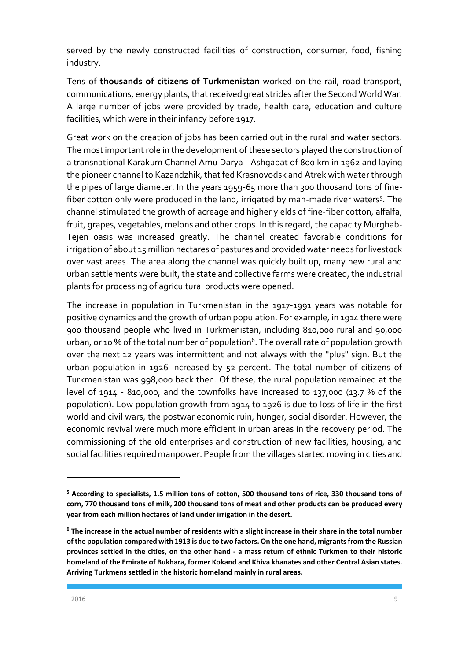served by the newly constructed facilities of construction, consumer, food, fishing industry.

Tens of **thousands of citizens of Turkmenistan** worked on the rail, road transport, communications, energy plants, that received great strides after the Second World War. A large number of jobs were provided by trade, health care, education and culture facilities, which were in their infancy before 1917.

Great work on the creation of jobs has been carried out in the rural and water sectors. The most important role in the development of these sectors played the construction of a transnational Karakum Channel Amu Darya - Ashgabat of 800 km in 1962 and laying the pioneer channel to Kazandzhik, that fed Krasnovodsk and Atrek with water through the pipes of large diameter. In the years 1959-65 more than 300 thousand tons of finefiber cotton only were produced in the land, irrigated by man-made river waters<sup>5</sup>. The channel stimulated the growth of acreage and higher yields of fine-fiber cotton, alfalfa, fruit, grapes, vegetables, melons and other crops. In this regard, the capacity Murghab-Tejen oasis was increased greatly. The channel created favorable conditions for irrigation of about 15 million hectares of pastures and provided water needs for livestock over vast areas. The area along the channel was quickly built up, many new rural and urban settlements were built, the state and collective farms were created, the industrial plants for processing of agricultural products were opened.

The increase in population in Turkmenistan in the 1917-1991 years was notable for positive dynamics and the growth of urban population. For example, in 1914 there were 900 thousand people who lived in Turkmenistan, including 810,000 rural and 90,000 urban, or 10 % of the total number of population<sup>6</sup>. The overall rate of population growth over the next 12 years was intermittent and not always with the "plus" sign. But the urban population in 1926 increased by 52 percent. The total number of citizens of Turkmenistan was 998,000 back then. Of these, the rural population remained at the level of 1914 - 810,000, and the townfolks have increased to 137,000 (13.7 % of the population). Low population growth from 1914 to 1926 is due to loss of life in the first world and civil wars, the postwar economic ruin, hunger, social disorder. However, the economic revival were much more efficient in urban areas in the recovery period. The commissioning of the old enterprises and construction of new facilities, housing, and social facilities required manpower. People from the villages started moving in cities and

**<sup>5</sup> According to specialists, 1.5 million tons of cotton, 500 thousand tons of rice, 330 thousand tons of corn, 770 thousand tons of milk, 200 thousand tons of meat and other products can be produced every year from each million hectares of land under irrigation in the desert.**

**<sup>6</sup> The increase in the actual number of residents with a slight increase in their share in the total number of the population compared with 1913 is due to two factors. On the one hand, migrants from the Russian provinces settled in the cities, on the other hand - a mass return of ethnic Turkmen to their historic homeland of the Emirate of Bukhara, former Kokand and Khiva khanates and other Central Asian states. Arriving Turkmens settled in the historic homeland mainly in rural areas.**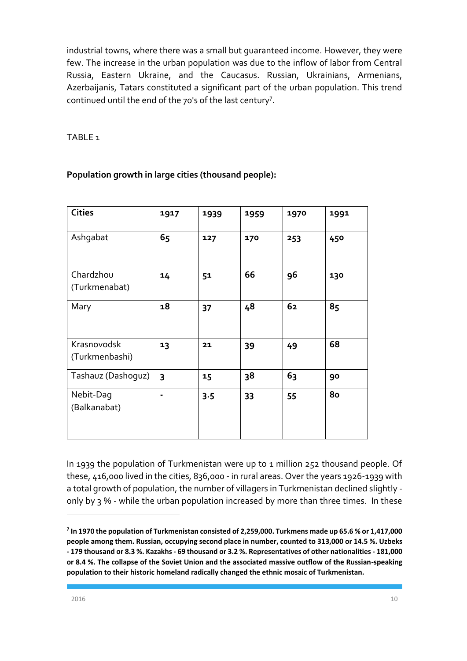industrial towns, where there was a small but guaranteed income. However, they were few. The increase in the urban population was due to the inflow of labor from Central Russia, Eastern Ukraine, and the Caucasus. Russian, Ukrainians, Armenians, Azerbaijanis, Tatars constituted a significant part of the urban population. This trend continued until the end of the 70's of the last century<sup>7</sup> .

#### TABLE 1

#### **Population growth in large cities (thousand people):**

| <b>Cities</b>                 | 1917 | 1939    | 1959 | 1970 | 1991 |
|-------------------------------|------|---------|------|------|------|
| Ashgabat                      | 65   | 127     | 170  | 253  | 450  |
| Chardzhou                     | 14   | 51      | 66   | 96   | 130  |
| (Turkmenabat)                 |      |         |      |      |      |
| Mary                          | 18   | 37      | 48   | 62   | 85   |
| Krasnovodsk<br>(Turkmenbashi) | 13   | 21      | 39   | 49   | 68   |
| Tashauz (Dashoguz)            | 3    | 15      | 38   | 63   | 90   |
| Nebit-Dag<br>(Balkanabat)     |      | $3 - 5$ | 33   | 55   | 80   |

In 1939 the population of Turkmenistan were up to 1 million 252 thousand people. Of these, 416,000 lived in the cities, 836,000 - in rural areas. Over the years 1926-1939 with a total growth of population, the number of villagers in Turkmenistan declined slightly only by 3 % - while the urban population increased by more than three times. In these

1

**<sup>7</sup> In 1970 the population of Turkmenistan consisted of 2,259,000. Turkmens made up 65.6 % or 1,417,000 people among them. Russian, occupying second place in number, counted to 313,000 or 14.5 %. Uzbeks - 179 thousand or 8.3 %. Kazakhs - 69 thousand or 3.2 %. Representatives of other nationalities - 181,000 or 8.4 %. The collapse of the Soviet Union and the associated massive outflow of the Russian-speaking population to their historic homeland radically changed the ethnic mosaic of Turkmenistan.**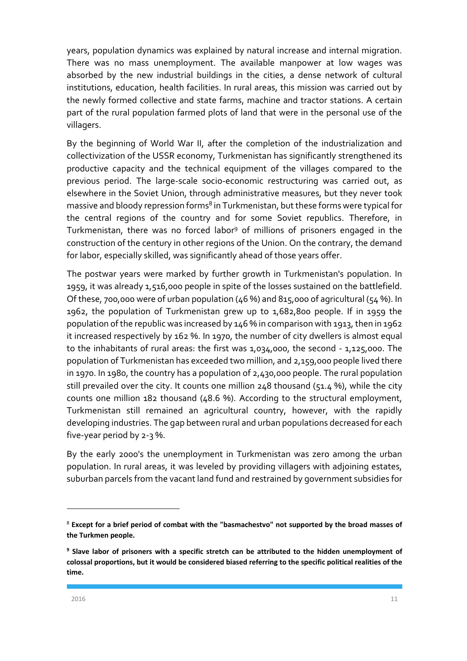years, population dynamics was explained by natural increase and internal migration. There was no mass unemployment. The available manpower at low wages was absorbed by the new industrial buildings in the cities, a dense network of cultural institutions, education, health facilities. In rural areas, this mission was carried out by the newly formed collective and state farms, machine and tractor stations. A certain part of the rural population farmed plots of land that were in the personal use of the villagers.

By the beginning of World War II, after the completion of the industrialization and collectivization of the USSR economy, Turkmenistan has significantly strengthened its productive capacity and the technical equipment of the villages compared to the previous period. The large-scale socio-economic restructuring was carried out, as elsewhere in the Soviet Union, through administrative measures, but they never took massive and bloody repression forms<sup>8</sup> in Turkmenistan, but these forms were typical for the central regions of the country and for some Soviet republics. Therefore, in Turkmenistan, there was no forced labor<sup>9</sup> of millions of prisoners engaged in the construction of the century in other regions of the Union. On the contrary, the demand for labor, especially skilled, was significantly ahead of those years offer.

The postwar years were marked by further growth in Turkmenistan's population. In 1959, it was already 1,516,000 people in spite of the losses sustained on the battlefield. Of these, 700,000 were of urban population (46 %) and 815,000 of agricultural (54 %). In 1962, the population of Turkmenistan grew up to 1,682,800 people. If in 1959 the population of the republic was increased by 146 % in comparison with 1913, then in 1962 it increased respectively by 162 %. In 1970, the number of city dwellers is almost equal to the inhabitants of rural areas: the first was 1,034,000, the second - 1,125,000. The population of Turkmenistan has exceeded two million, and 2,159,000 people lived there in 1970. In 1980, the country has a population of 2,430,000 people. The rural population still prevailed over the city. It counts one million  $248$  thousand ( $51.4$ %), while the city counts one million 182 thousand (48.6 %). According to the structural employment, Turkmenistan still remained an agricultural country, however, with the rapidly developing industries. The gap between rural and urban populations decreased for each five-year period by 2-3 %.

By the early 2000's the unemployment in Turkmenistan was zero among the urban population. In rural areas, it was leveled by providing villagers with adjoining estates, suburban parcels from the vacant land fund and restrained by government subsidies for

<sup>8</sup> **Except for a brief period of combat with the "basmachestvo" not supported by the broad masses of the Turkmen people.**

**<sup>9</sup> Slave labor of prisoners with a specific stretch can be attributed to the hidden unemployment of colossal proportions, but it would be considered biased referring to the specific political realities of the time.**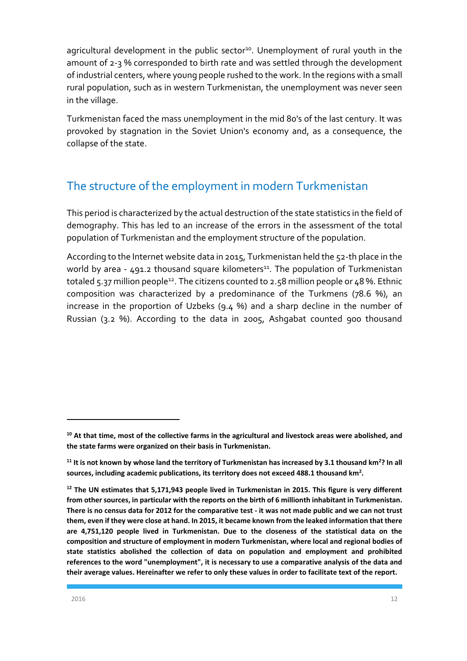agricultural development in the public sector<sup>10</sup>. Unemployment of rural youth in the amount of 2-3 % corresponded to birth rate and was settled through the development of industrial centers, where young people rushed to the work. In the regions with a small rural population, such as in western Turkmenistan, the unemployment was never seen in the village.

Turkmenistan faced the mass unemployment in the mid 80's of the last century. It was provoked by stagnation in the Soviet Union's economy and, as a consequence, the collapse of the state.

## <span id="page-12-0"></span>The structure of the employment in modern Turkmenistan

This period is characterized by the actual destruction of the state statistics in the field of demography. This has led to an increase of the errors in the assessment of the total population of Turkmenistan and the employment structure of the population.

According to the Internet website data in 2015, Turkmenistan held the 52-th place in the world by area -  $491.2$  thousand square kilometers<sup>11</sup>. The population of Turkmenistan totaled 5.37 million people<sup>12</sup>. The citizens counted to 2.58 million people or 48 %. Ethnic composition was characterized by a predominance of the Turkmens (78.6 %), an increase in the proportion of Uzbeks (9.4 %) and a sharp decline in the number of Russian (3.2 %). According to the data in 2005, Ashgabat counted 900 thousand

**<sup>10</sup> At that time, most of the collective farms in the agricultural and livestock areas were abolished, and the state farms were organized on their basis in Turkmenistan.**

**<sup>11</sup> It is not known by whose land the territory of Turkmenistan has increased by 3.1 thousand km<sup>2</sup> ? In all sources, including academic publications, its territory does not exceed 488.1 thousand km<sup>2</sup> .** 

**<sup>12</sup> The UN estimates that 5,171,943 people lived in Turkmenistan in 2015. This figure is very different from other sources, in particular with the reports on the birth of 6 millionth inhabitant in Turkmenistan. There is no census data for 2012 for the comparative test - it was not made public and we can not trust them, even if they were close at hand. In 2015, it became known from the leaked information that there are 4,751,120 people lived in Turkmenistan. Due to the closeness of the statistical data on the composition and structure of employment in modern Turkmenistan, where local and regional bodies of state statistics abolished the collection of data on population and employment and prohibited references to the word "unemployment", it is necessary to use a comparative analysis of the data and their average values. Hereinafter we refer to only these values in order to facilitate text of the report.**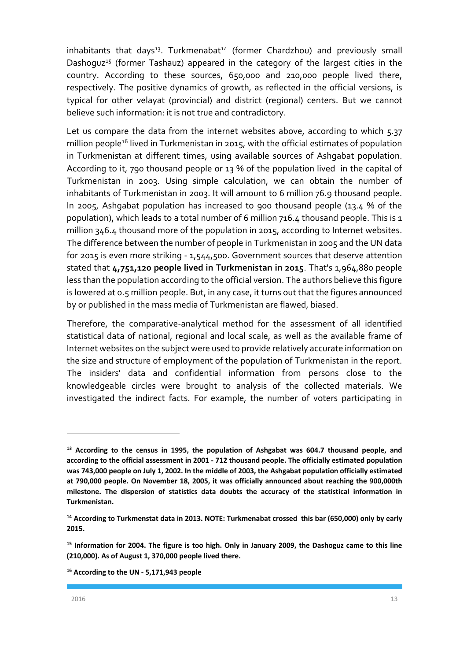$i$ nhabitants that days<sup>13</sup>. Turkmenabat<sup>14</sup> (former Chardzhou) and previously small Dashoguz<sup>15</sup> (former Tashauz) appeared in the category of the largest cities in the country. According to these sources, 650,000 and 210,000 people lived there, respectively. The positive dynamics of growth, as reflected in the official versions, is typical for other velayat (provincial) and district (regional) centers. But we cannot believe such information: it is not true and contradictory.

Let us compare the data from the internet websites above, according to which 5.37 million people<sup>16</sup> lived in Turkmenistan in 2015, with the official estimates of population in Turkmenistan at different times, using available sources of Ashgabat population. According to it, 790 thousand people or 13 % of the population lived in the capital of Turkmenistan in 2003. Using simple calculation, we can obtain the number of inhabitants of Turkmenistan in 2003. It will amount to 6 million 76.9 thousand people. In 2005, Ashgabat population has increased to 900 thousand people (13.4 % of the population), which leads to a total number of 6 million 716.4 thousand people. This is 1 million 346.4 thousand more of the population in 2015, according to Internet websites. The difference between the number of people in Turkmenistan in 2005 and the UN data for 2015 is even more striking - 1,544,500. Government sources that deserve attention stated that **4,751,120 people lived in Turkmenistan in 2015**. That's 1,964,880 people less than the population according to the official version. The authors believe this figure is lowered at 0.5 million people. But, in any case, it turns out that the figures announced by or published in the mass media of Turkmenistan are flawed, biased.

Therefore, the comparative-analytical method for the assessment of all identified statistical data of national, regional and local scale, as well as the available frame of Internet websites on the subject were used to provide relatively accurate information on the size and structure of employment of the population of Turkmenistan in the report. The insiders' data and confidential information from persons close to the knowledgeable circles were brought to analysis of the collected materials. We investigated the indirect facts. For example, the number of voters participating in

**<sup>13</sup> According to the census in 1995, the population of Ashgabat was 604.7 thousand people, and according to the official assessment in 2001 - 712 thousand people. The officially estimated population was 743,000 people on July 1, 2002. In the middle of 2003, the Ashgabat population officially estimated at 790,000 people. On November 18, 2005, it was officially announced about reaching the 900,000th milestone. The dispersion of statistics data doubts the accuracy of the statistical information in Turkmenistan.** 

**<sup>14</sup> According to Turkmenstat data in 2013. NOTE: Turkmenabat crossed this bar (650,000) only by early 2015.**

**<sup>15</sup> Information for 2004. The figure is too high. Only in January 2009, the Dashoguz came to this line (210,000). As of August 1, 370,000 people lived there.** 

**<sup>16</sup> According to the UN - 5,171,943 people**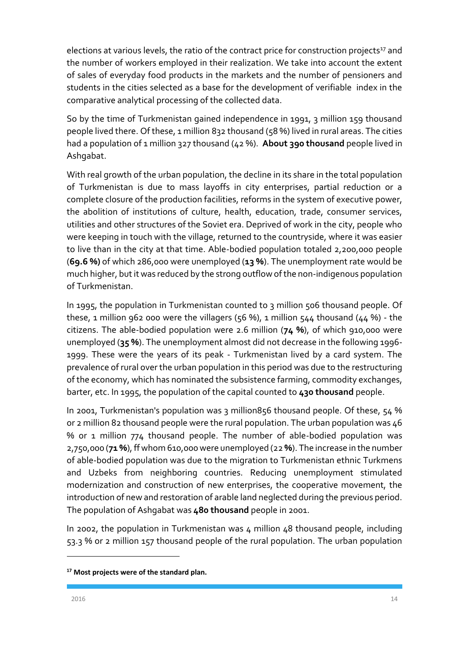elections at various levels, the ratio of the contract price for construction projects<sup>17</sup> and the number of workers employed in their realization. We take into account the extent of sales of everyday food products in the markets and the number of pensioners and students in the cities selected as a base for the development of verifiable index in the comparative analytical processing of the collected data.

So by the time of Turkmenistan gained independence in 1991, 3 million 159 thousand people lived there. Of these, 1 million 832 thousand (58 %) lived in rural areas. The cities had a population of 1 million 327 thousand (42 %). **About 390 thousand** people lived in Ashgabat.

With real growth of the urban population, the decline in its share in the total population of Turkmenistan is due to mass layoffs in city enterprises, partial reduction or a complete closure of the production facilities, reforms in the system of executive power, the abolition of institutions of culture, health, education, trade, consumer services, utilities and other structures of the Soviet era. Deprived of work in the city, people who were keeping in touch with the village, returned to the countryside, where it was easier to live than in the city at that time. Able-bodied population totaled 2,200,000 people (**69.6 %)** of which 286,000 were unemployed (**13 %**). The unemployment rate would be much higher, but it was reduced by the strong outflow of the non-indigenous population of Turkmenistan.

In 1995, the population in Turkmenistan counted to 3 million 506 thousand people. Of these, 1 million 962 000 were the villagers (56 %), 1 million 544 thousand (44 %) - the citizens. The able-bodied population were 2.6 million (**74 %**), of which 910,000 were unemployed (**35 %**). The unemployment almost did not decrease in the following 1996- 1999. These were the years of its peak - Turkmenistan lived by a card system. The prevalence of rural over the urban population in this period was due to the restructuring of the economy, which has nominated the subsistence farming, commodity exchanges, barter, etc. In 1995, the population of the capital counted to **430 thousand** people.

In 2001, Turkmenistan's population was 3 million856 thousand people. Of these, 54 % or 2 million 82 thousand people were the rural population. The urban population was 46 % or 1 million 774 thousand people. The number of able-bodied population was 2,750,000 (**71 %**), ff whom 610,000 were unemployed (22 **%**). The increase in the number of able-bodied population was due to the migration to Turkmenistan ethnic Turkmens and Uzbeks from neighboring countries. Reducing unemployment stimulated modernization and construction of new enterprises, the cooperative movement, the introduction of new and restoration of arable land neglected during the previous period. The population of Ashgabat was **480 thousand** people in 2001.

In 2002, the population in Turkmenistan was 4 million 48 thousand people, including 53.3 % or 2 million 157 thousand people of the rural population. The urban population

**<sup>17</sup> Most projects were of the standard plan.**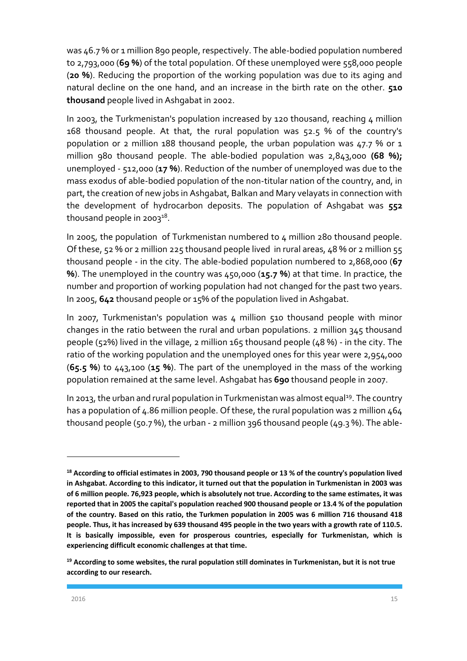was 46.7% or 1 million 890 people, respectively. The able-bodied population numbered to 2,793,000 (**69 %**) of the total population. Of these unemployed were 558,000 people (**20 %**). Reducing the proportion of the working population was due to its aging and natural decline on the one hand, and an increase in the birth rate on the other. **510 thousand** people lived in Ashgabat in 2002.

In 2003, the Turkmenistan's population increased by 120 thousand, reaching  $\mu$  million 168 thousand people. At that, the rural population was 52.5 % of the country's population or 2 million 188 thousand people, the urban population was 47.7 % or 1 million 980 thousand people. The able-bodied population was 2,843,000 **(68 %);**  unemployed - 512,000 (**17 %**). Reduction of the number of unemployed was due to the mass exodus of able-bodied population of the non-titular nation of the country, and, in part, the creation of new jobs in Ashgabat, Balkan and Mary velayats in connection with the development of hydrocarbon deposits. The population of Ashgabat was **552** thousand people in 2003 $^{18}$ .

In 2005, the population of Turkmenistan numbered to 4 million 280 thousand people. Of these, 52 % or 2 million 225 thousand people lived in rural areas, 48 % or 2 million 55 thousand people - in the city. The able-bodied population numbered to 2,868,000 (**67 %**). The unemployed in the country was 450,000 (**15.7 %**) at that time. In practice, the number and proportion of working population had not changed for the past two years. In 2005, **642** thousand people or 15% of the population lived in Ashgabat.

In 2007, Turkmenistan's population was 4 million 510 thousand people with minor changes in the ratio between the rural and urban populations. 2 million 345 thousand people (52%) lived in the village, 2 million 165 thousand people (48 %) - in the city. The ratio of the working population and the unemployed ones for this year were 2,954,000 (**65.5 %**) to 443,100 (**15 %**). The part of the unemployed in the mass of the working population remained at the same level. Ashgabat has **690** thousand people in 2007.

In 2013, the urban and rural population in Turkmenistan was almost equal<sup>19</sup>. The country has a population of 4.86 million people. Of these, the rural population was 2 million 464 thousand people (50.7 %), the urban - 2 million 396 thousand people (49.3 %). The able-

1

**<sup>18</sup> According to official estimates in 2003, 790 thousand people or 13 % of the country's population lived in Ashgabat. According to this indicator, it turned out that the population in Turkmenistan in 2003 was of 6 million people. 76,923 people, which is absolutely not true. According to the same estimates, it was reported that in 2005 the capital's population reached 900 thousand people or 13.4 % of the population of the country. Based on this ratio, the Turkmen population in 2005 was 6 million 716 thousand 418 people. Thus, it has increased by 639 thousand 495 people in the two years with a growth rate of 110.5. It is basically impossible, even for prosperous countries, especially for Turkmenistan, which is experiencing difficult economic challenges at that time.** 

**<sup>19</sup> According to some websites, the rural population still dominates in Turkmenistan, but it is not true according to our research.**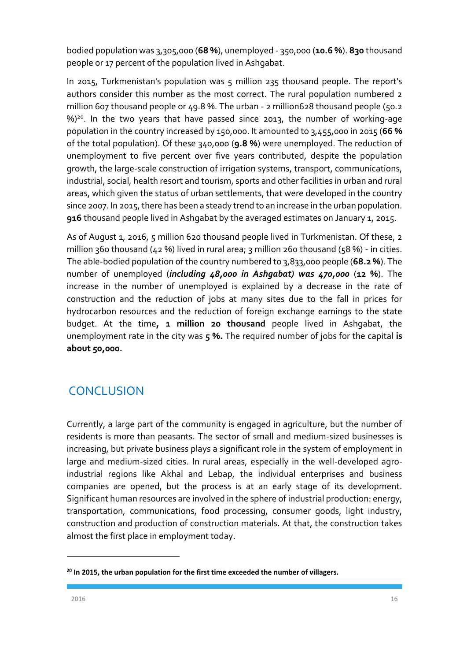bodied population was 3,305,000 (**68 %**), unemployed - 350,000 (**10.6 %**). **830** thousand people or 17 percent of the population lived in Ashgabat.

In 2015, Turkmenistan's population was 5 million 235 thousand people. The report's authors consider this number as the most correct. The rural population numbered 2 million 607 thousand people or 49.8 %. The urban - 2 million628 thousand people (50.2 %)<sup>20</sup>. In the two years that have passed since 2013, the number of working-age population in the country increased by 150,000. It amounted to 3,455,000 in 2015 (**66 %** of the total population). Of these 340,000 (**9.8 %**) were unemployed. The reduction of unemployment to five percent over five years contributed, despite the population growth, the large-scale construction of irrigation systems, transport, communications, industrial, social, health resort and tourism, sports and other facilities in urban and rural areas, which given the status of urban settlements, that were developed in the country since 2007. In 2015, there has been a steady trend to an increase in the urban population. **916** thousand people lived in Ashgabat by the averaged estimates on January 1, 2015.

As of August 1, 2016, 5 million 620 thousand people lived in Turkmenistan. Of these, 2 million 360 thousand (42 %) lived in rural area; 3 million 260 thousand (58 %) - in cities. The able-bodied population of the country numbered to 3,833,000 people (**68.2 %**). The number of unemployed (*including 48,000 in Ashgabat) was 470,000* (**12 %**). The increase in the number of unemployed is explained by a decrease in the rate of construction and the reduction of jobs at many sites due to the fall in prices for hydrocarbon resources and the reduction of foreign exchange earnings to the state budget. At the time**, 1 million 20 thousand** people lived in Ashgabat, the unemployment rate in the city was **5 %.** The required number of jobs for the capital **is about 50,000.**

# <span id="page-16-0"></span>**CONCLUSION**

Currently, a large part of the community is engaged in agriculture, but the number of residents is more than peasants. The sector of small and medium-sized businesses is increasing, but private business plays a significant role in the system of employment in large and medium-sized cities. In rural areas, especially in the well-developed agroindustrial regions like Akhal and Lebap, the individual enterprises and business companies are opened, but the process is at an early stage of its development. Significant human resources are involved in the sphere of industrial production: energy, transportation, communications, food processing, consumer goods, light industry, construction and production of construction materials. At that, the construction takes almost the first place in employment today.

**<sup>20</sup> In 2015, the urban population for the first time exceeded the number of villagers.**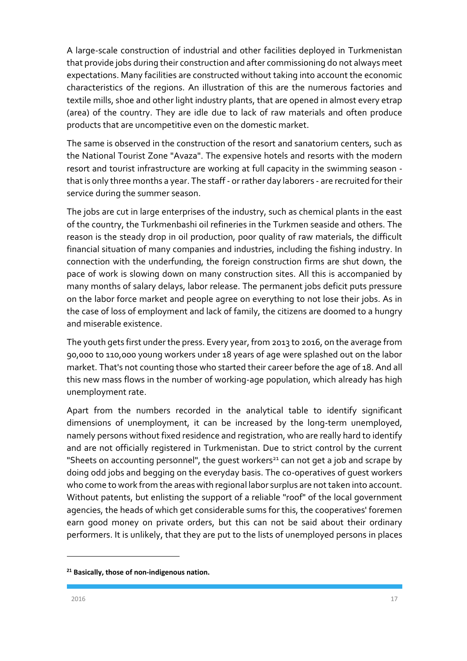A large-scale construction of industrial and other facilities deployed in Turkmenistan that provide jobs during their construction and after commissioning do not always meet expectations. Many facilities are constructed without taking into account the economic characteristics of the regions. An illustration of this are the numerous factories and textile mills, shoe and other light industry plants, that are opened in almost every etrap (area) of the country. They are idle due to lack of raw materials and often produce products that are uncompetitive even on the domestic market.

The same is observed in the construction of the resort and sanatorium centers, such as the National Tourist Zone "Avaza". The expensive hotels and resorts with the modern resort and tourist infrastructure are working at full capacity in the swimming season that is only three months a year. The staff - or rather day laborers - are recruited for their service during the summer season.

The jobs are cut in large enterprises of the industry, such as chemical plants in the east of the country, the Turkmenbashi oil refineries in the Turkmen seaside and others. The reason is the steady drop in oil production, poor quality of raw materials, the difficult financial situation of many companies and industries, including the fishing industry. In connection with the underfunding, the foreign construction firms are shut down, the pace of work is slowing down on many construction sites. All this is accompanied by many months of salary delays, labor release. The permanent jobs deficit puts pressure on the labor force market and people agree on everything to not lose their jobs. As in the case of loss of employment and lack of family, the citizens are doomed to a hungry and miserable existence.

The youth gets first under the press. Every year, from 2013 to 2016, on the average from 90,000 to 110,000 young workers under 18 years of age were splashed out on the labor market. That's not counting those who started their career before the age of 18. And all this new mass flows in the number of working-age population, which already has high unemployment rate.

Apart from the numbers recorded in the analytical table to identify significant dimensions of unemployment, it can be increased by the long-term unemployed, namely persons without fixed residence and registration, who are really hard to identify and are not officially registered in Turkmenistan. Due to strict control by the current "Sheets on accounting personnel", the quest workers<sup>21</sup> can not get a job and scrape by doing odd jobs and begging on the everyday basis. The co-operatives of guest workers who come to work from the areas with regional labor surplus are not taken into account. Without patents, but enlisting the support of a reliable "roof" of the local government agencies, the heads of which get considerable sums for this, the cooperatives' foremen earn good money on private orders, but this can not be said about their ordinary performers. It is unlikely, that they are put to the lists of unemployed persons in places

**<sup>21</sup> Basically, those of non-indigenous nation.**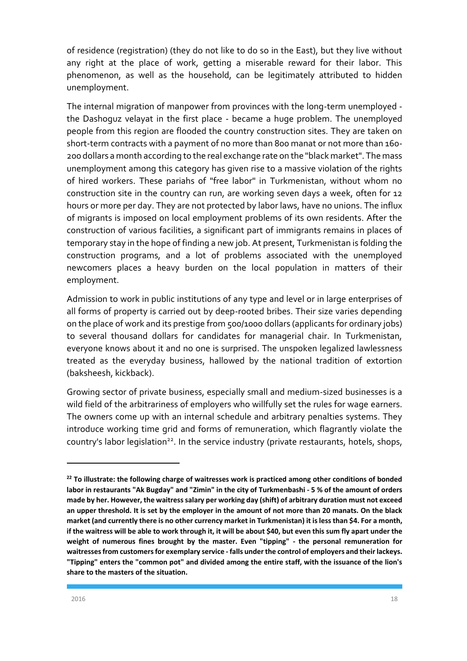of residence (registration) (they do not like to do so in the East), but they live without any right at the place of work, getting a miserable reward for their labor. This phenomenon, as well as the household, can be legitimately attributed to hidden unemployment.

The internal migration of manpower from provinces with the long-term unemployed the Dashoguz velayat in the first place - became a huge problem. The unemployed people from this region are flooded the country construction sites. They are taken on short-term contracts with a payment of no more than 800 manat or not more than 160- 200 dollars a month according to the real exchange rate on the "black market". The mass unemployment among this category has given rise to a massive violation of the rights of hired workers. These pariahs of "free labor" in Turkmenistan, without whom no construction site in the country can run, are working seven days a week, often for 12 hours or more per day. They are not protected by labor laws, have no unions. The influx of migrants is imposed on local employment problems of its own residents. After the construction of various facilities, a significant part of immigrants remains in places of temporary stay in the hope of finding a new job. At present, Turkmenistan is folding the construction programs, and a lot of problems associated with the unemployed newcomers places a heavy burden on the local population in matters of their employment.

Admission to work in public institutions of any type and level or in large enterprises of all forms of property is carried out by deep-rooted bribes. Their size varies depending on the place of work and its prestige from 500/1000 dollars (applicants for ordinary jobs) to several thousand dollars for candidates for managerial chair. In Turkmenistan, everyone knows about it and no one is surprised. The unspoken legalized lawlessness treated as the everyday business, hallowed by the national tradition of extortion (baksheesh, kickback).

Growing sector of private business, especially small and medium-sized businesses is a wild field of the arbitrariness of employers who willfully set the rules for wage earners. The owners come up with an internal schedule and arbitrary penalties systems. They introduce working time grid and forms of remuneration, which flagrantly violate the country's labor legislation<sup>22</sup>. In the service industry (private restaurants, hotels, shops,

**<sup>22</sup> To illustrate: the following charge of waitresses work is practiced among other conditions of bonded labor in restaurants "Ak Bugday" and "Zimin" in the city of Turkmenbashi - 5 % of the amount of orders made by her. However, the waitress salary per working day (shift) of arbitrary duration must not exceed an upper threshold. It is set by the employer in the amount of not more than 20 manats. On the black market (and currently there is no other currency market in Turkmenistan) it is less than \$4. For a month, if the waitress will be able to work through it, it will be about \$40, but even this sum fly apart under the weight of numerous fines brought by the master. Even "tipping" - the personal remuneration for waitresses from customers for exemplary service - falls under the control of employers and their lackeys. "Tipping" enters the "common pot" and divided among the entire staff, with the issuance of the lion's share to the masters of the situation.**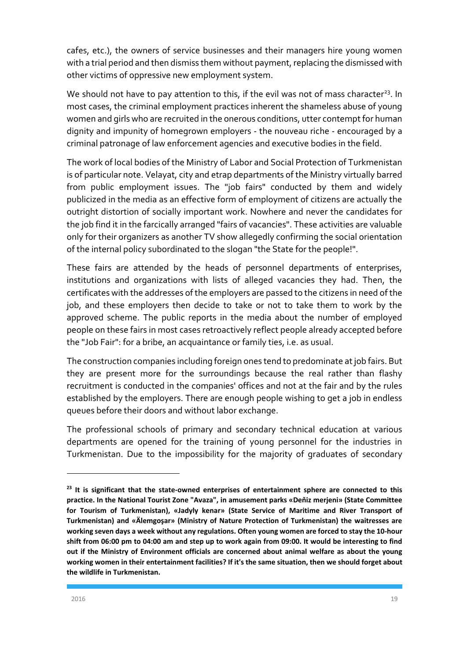cafes, etc.), the owners of service businesses and their managers hire young women with a trial period and then dismiss them without payment, replacing the dismissed with other victims of oppressive new employment system.

We should not have to pay attention to this, if the evil was not of mass character<sup>23</sup>. In most cases, the criminal employment practices inherent the shameless abuse of young women and girls who are recruited in the onerous conditions, utter contempt for human dignity and impunity of homegrown employers - the nouveau riche - encouraged by a criminal patronage of law enforcement agencies and executive bodies in the field.

The work of local bodies of the Ministry of Labor and Social Protection of Turkmenistan is of particular note. Velayat, city and etrap departments of the Ministry virtually barred from public employment issues. The "job fairs" conducted by them and widely publicized in the media as an effective form of employment of citizens are actually the outright distortion of socially important work. Nowhere and never the candidates for the job find it in the farcically arranged "fairs of vacancies". These activities are valuable only for their organizers as another TV show allegedly confirming the social orientation of the internal policy subordinated to the slogan "the State for the people!".

These fairs are attended by the heads of personnel departments of enterprises, institutions and organizations with lists of alleged vacancies they had. Then, the certificates with the addresses of the employers are passed to the citizens in need of the job, and these employers then decide to take or not to take them to work by the approved scheme. The public reports in the media about the number of employed people on these fairs in most cases retroactively reflect people already accepted before the "Job Fair": for a bribe, an acquaintance or family ties, i.e. as usual.

The construction companies including foreign ones tend to predominate at job fairs. But they are present more for the surroundings because the real rather than flashy recruitment is conducted in the companies' offices and not at the fair and by the rules established by the employers. There are enough people wishing to get a job in endless queues before their doors and without labor exchange.

The professional schools of primary and secondary technical education at various departments are opened for the training of young personnel for the industries in Turkmenistan. Due to the impossibility for the majority of graduates of secondary

**<sup>23</sup> It is significant that the state-owned enterprises of entertainment sphere are connected to this practice. In the National Tourist Zone "Avaza", in amusement parks «Deňiz merjeni» (State Committee for Tourism of Turkmenistan), «Jadyly kenar» (State Service of Maritime and River Transport of Turkmenistan) and «Älemgoşar» (Ministry of Nature Protection of Turkmenistan) the waitresses are working seven days a week without any regulations. Often young women are forced to stay the 10-hour shift from 06:00 pm to 04:00 am and step up to work again from 09:00. It would be interesting to find out if the Ministry of Environment officials are concerned about animal welfare as about the young working women in their entertainment facilities? If it's the same situation, then we should forget about the wildlife in Turkmenistan.**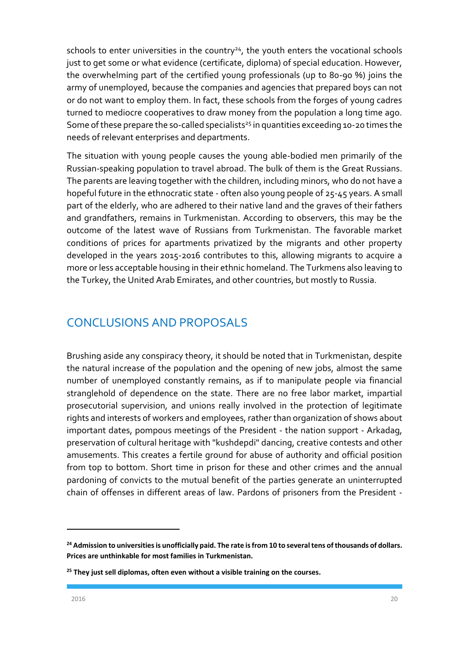schools to enter universities in the country $24$ , the youth enters the vocational schools just to get some or what evidence (certificate, diploma) of special education. However, the overwhelming part of the certified young professionals (up to 80-90 %) joins the army of unemployed, because the companies and agencies that prepared boys can not or do not want to employ them. In fact, these schools from the forges of young cadres turned to mediocre cooperatives to draw money from the population a long time ago. Some of these prepare the so-called specialists<sup>25</sup> in quantities exceeding 10-20 times the needs of relevant enterprises and departments.

The situation with young people causes the young able-bodied men primarily of the Russian-speaking population to travel abroad. The bulk of them is the Great Russians. The parents are leaving together with the children, including minors, who do not have a hopeful future in the ethnocratic state - often also young people of 25-45 years. A small part of the elderly, who are adhered to their native land and the graves of their fathers and grandfathers, remains in Turkmenistan. According to observers, this may be the outcome of the latest wave of Russians from Turkmenistan. The favorable market conditions of prices for apartments privatized by the migrants and other property developed in the years 2015-2016 contributes to this, allowing migrants to acquire a more or less acceptable housing in their ethnic homeland. The Turkmens also leaving to the Turkey, the United Arab Emirates, and other countries, but mostly to Russia.

## <span id="page-20-0"></span>CONCLUSIONS AND PROPOSALS

Brushing aside any conspiracy theory, it should be noted that in Turkmenistan, despite the natural increase of the population and the opening of new jobs, almost the same number of unemployed constantly remains, as if to manipulate people via financial stranglehold of dependence on the state. There are no free labor market, impartial prosecutorial supervision, and unions really involved in the protection of legitimate rights and interests of workers and employees, rather than organization of shows about important dates, pompous meetings of the President - the nation support - Arkadag, preservation of cultural heritage with "kushdepdi" dancing, creative contests and other amusements. This creates a fertile ground for abuse of authority and official position from top to bottom. Short time in prison for these and other crimes and the annual pardoning of convicts to the mutual benefit of the parties generate an uninterrupted chain of offenses in different areas of law. Pardons of prisoners from the President -

1

**<sup>24</sup> Admission to universities is unofficially paid. The rate is from 10 to several tens of thousands of dollars. Prices are unthinkable for most families in Turkmenistan.** 

**<sup>25</sup> They just sell diplomas, often even without a visible training on the courses.**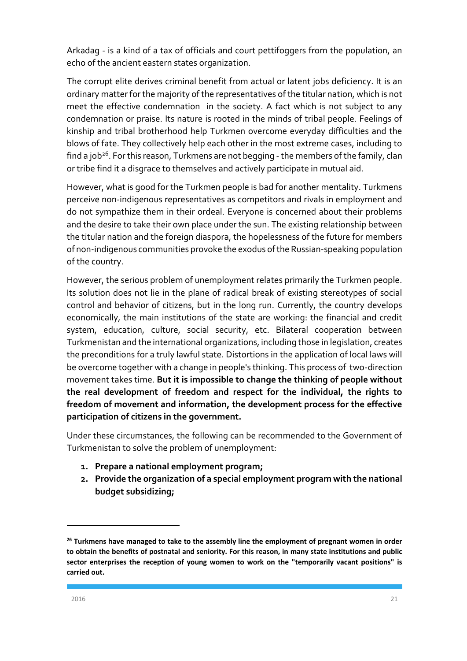Arkadag - is a kind of a tax of officials and court pettifoggers from the population, an echo of the ancient eastern states organization.

The corrupt elite derives criminal benefit from actual or latent jobs deficiency. It is an ordinary matter for the majority of the representatives of the titular nation, which is not meet the effective condemnation in the society. A fact which is not subject to any condemnation or praise. Its nature is rooted in the minds of tribal people. Feelings of kinship and tribal brotherhood help Turkmen overcome everyday difficulties and the blows of fate. They collectively help each other in the most extreme cases, including to find a job<sup>26</sup>. For this reason, Turkmens are not begging - the members of the family, clan or tribe find it a disgrace to themselves and actively participate in mutual aid.

However, what is good for the Turkmen people is bad for another mentality. Turkmens perceive non-indigenous representatives as competitors and rivals in employment and do not sympathize them in their ordeal. Everyone is concerned about their problems and the desire to take their own place under the sun. The existing relationship between the titular nation and the foreign diaspora, the hopelessness of the future for members of non-indigenous communities provoke the exodus of the Russian-speaking population of the country.

However, the serious problem of unemployment relates primarily the Turkmen people. Its solution does not lie in the plane of radical break of existing stereotypes of social control and behavior of citizens, but in the long run. Currently, the country develops economically, the main institutions of the state are working: the financial and credit system, education, culture, social security, etc. Bilateral cooperation between Turkmenistan and the international organizations, including those in legislation, creates the preconditions for a truly lawful state. Distortions in the application of local laws will be overcome together with a change in people's thinking. This process of two-direction movement takes time. **But it is impossible to change the thinking of people without the real development of freedom and respect for the individual, the rights to freedom of movement and information, the development process for the effective participation of citizens in the government.**

Under these circumstances, the following can be recommended to the Government of Turkmenistan to solve the problem of unemployment:

- **1. Prepare a national employment program;**
- **2. Provide the organization of a special employment program with the national budget subsidizing;**

**<sup>26</sup> Turkmens have managed to take to the assembly line the employment of pregnant women in order to obtain the benefits of postnatal and seniority. For this reason, in many state institutions and public sector enterprises the reception of young women to work on the "temporarily vacant positions" is carried out.**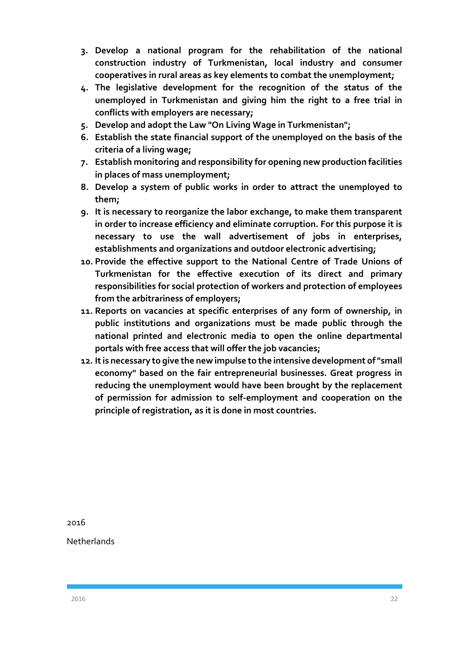- **3. Develop a national program for the rehabilitation of the national construction industry of Turkmenistan, local industry and consumer cooperatives in rural areas as key elements to combat the unemployment;**
- **4. The legislative development for the recognition of the status of the unemployed in Turkmenistan and giving him the right to a free trial in conflicts with employers are necessary;**
- **5. Develop and adopt the Law "On Living Wage in Turkmenistan";**
- **6. Establish the state financial support of the unemployed on the basis of the criteria of a living wage;**
- **7. Establish monitoring and responsibility for opening new production facilities in places of mass unemployment;**
- **8. Develop a system of public works in order to attract the unemployed to them;**
- **9. It is necessary to reorganize the labor exchange, to make them transparent in order to increase efficiency and eliminate corruption. For this purpose it is necessary to use the wall advertisement of jobs in enterprises, establishments and organizations and outdoor electronic advertising;**
- **10. Provide the effective support to the National Centre of Trade Unions of Turkmenistan for the effective execution of its direct and primary responsibilities for social protection of workers and protection of employees from the arbitrariness of employers;**
- **11. Reports on vacancies at specific enterprises of any form of ownership, in public institutions and organizations must be made public through the national printed and electronic media to open the online departmental portals with free access that will offer the job vacancies;**
- **12. It is necessary to give the new impulse to the intensive development of "small economy" based on the fair entrepreneurial businesses. Great progress in reducing the unemployment would have been brought by the replacement of permission for admission to self-employment and cooperation on the principle of registration, as it is done in most countries.**

2016

**Netherlands**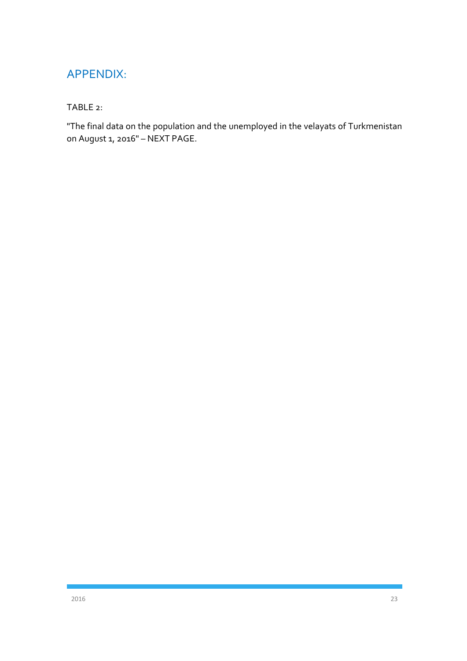## <span id="page-23-0"></span>APPENDIX:

#### TABLE 2:

"The final data on the population and the unemployed in the velayats of Turkmenistan on August 1, 2016" – NEXT PAGE.